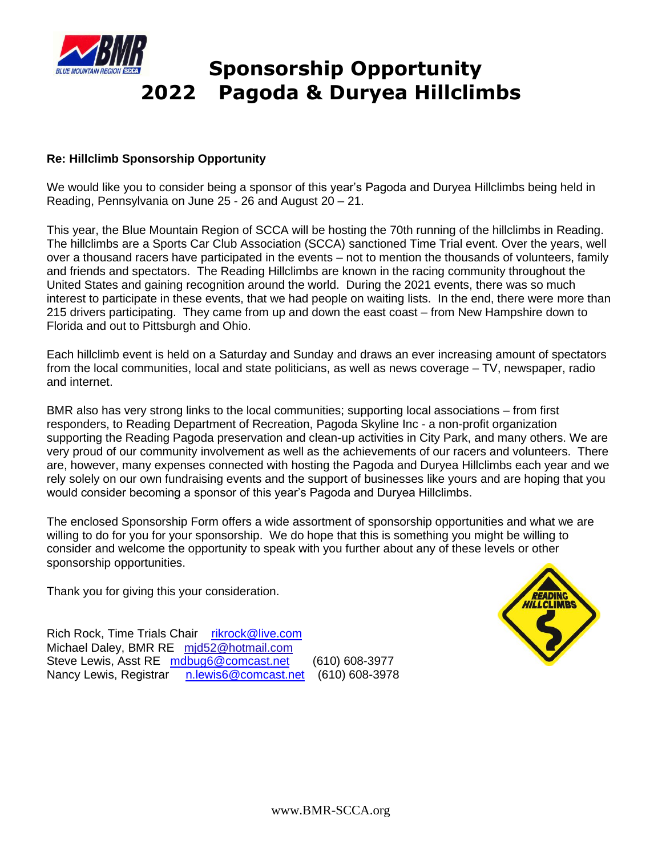

## **Sponsorship Opportunity 2022 Pagoda & Duryea Hillclimbs**

## **Re: Hillclimb Sponsorship Opportunity**

We would like you to consider being a sponsor of this year's Pagoda and Duryea Hillclimbs being held in Reading, Pennsylvania on June 25 - 26 and August 20 – 21.

This year, the Blue Mountain Region of SCCA will be hosting the 70th running of the hillclimbs in Reading. The hillclimbs are a Sports Car Club Association (SCCA) sanctioned Time Trial event. Over the years, well over a thousand racers have participated in the events – not to mention the thousands of volunteers, family and friends and spectators. The Reading Hillclimbs are known in the racing community throughout the United States and gaining recognition around the world. During the 2021 events, there was so much interest to participate in these events, that we had people on waiting lists. In the end, there were more than 215 drivers participating. They came from up and down the east coast – from New Hampshire down to Florida and out to Pittsburgh and Ohio.

Each hillclimb event is held on a Saturday and Sunday and draws an ever increasing amount of spectators from the local communities, local and state politicians, as well as news coverage – TV, newspaper, radio and internet.

BMR also has very strong links to the local communities; supporting local associations – from first responders, to Reading Department of Recreation, Pagoda Skyline Inc - a non-profit organization supporting the Reading Pagoda preservation and clean-up activities in City Park, and many others. We are very proud of our community involvement as well as the achievements of our racers and volunteers. There are, however, many expenses connected with hosting the Pagoda and Duryea Hillclimbs each year and we rely solely on our own fundraising events and the support of businesses like yours and are hoping that you would consider becoming a sponsor of this year's Pagoda and Duryea Hillclimbs.

The enclosed Sponsorship Form offers a wide assortment of sponsorship opportunities and what we are willing to do for you for your sponsorship. We do hope that this is something you might be willing to consider and welcome the opportunity to speak with you further about any of these levels or other sponsorship opportunities.

Thank you for giving this your consideration.



Rich Rock, Time Trials Chair [rikrock@live.com](mailto:rikrock@live.com) Michael Daley, BMR RE mjd52@hotmail.com Steve Lewis, Asst RE [mdbug6@comcast.net](mailto:mdbug6@comcast.net) (610) 608-3977 Nancy Lewis, Registrar [n.lewis6@comcast.net](mailto:n.lewis6@comcast.net) (610) 608-3978